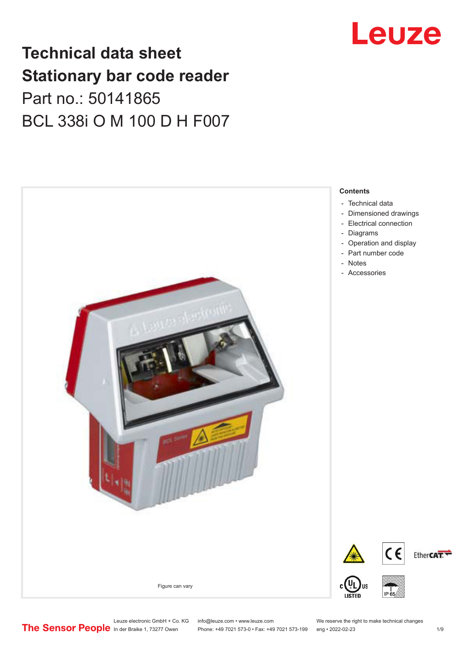# **Technical data sheet Stationary bar code reader** Part no.: 50141865 BCL 338i O M 100 D H F007



# Leuze

Leuze electronic GmbH + Co. KG info@leuze.com • www.leuze.com We reserve the right to make technical changes<br>
The Sensor People in der Braike 1, 73277 Owen Phone: +49 7021 573-0 • Fax: +49 7021 573-199 eng • 2022-02-23

Phone: +49 7021 573-0 • Fax: +49 7021 573-199 eng • 2022-02-23 1 /9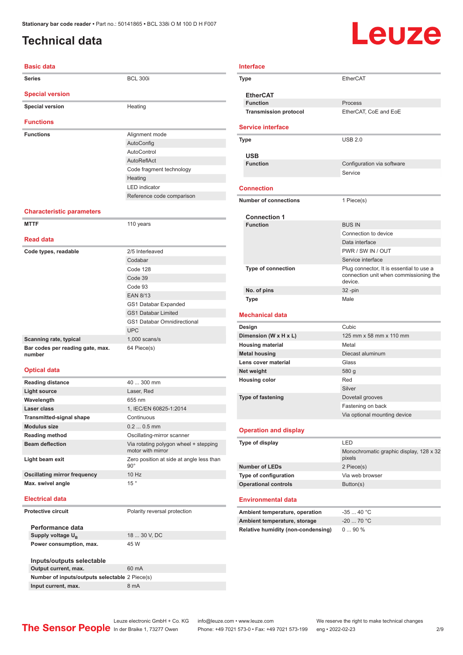## <span id="page-1-0"></span>**Technical data**

# Leuze

| <b>Basic data</b>                          |                                                            |
|--------------------------------------------|------------------------------------------------------------|
| <b>Series</b>                              | <b>BCL 300i</b>                                            |
| <b>Special version</b>                     |                                                            |
| <b>Special version</b>                     | Heating                                                    |
| <b>Functions</b>                           |                                                            |
| <b>Functions</b>                           | Alignment mode                                             |
|                                            | AutoConfig                                                 |
|                                            | AutoControl                                                |
|                                            | <b>AutoReflAct</b>                                         |
|                                            | Code fragment technology                                   |
|                                            | Heating                                                    |
|                                            | <b>LED</b> indicator                                       |
|                                            | Reference code comparison                                  |
| <b>Characteristic parameters</b>           |                                                            |
| <b>MTTF</b>                                | 110 years                                                  |
| <b>Read data</b>                           |                                                            |
| Code types, readable                       | 2/5 Interleaved                                            |
|                                            | Codabar                                                    |
|                                            | Code 128                                                   |
|                                            | Code 39                                                    |
|                                            | Code 93                                                    |
|                                            | <b>EAN 8/13</b>                                            |
|                                            | GS1 Databar Expanded                                       |
|                                            | <b>GS1 Databar Limited</b>                                 |
|                                            | <b>GS1 Databar Omnidirectional</b>                         |
|                                            | <b>UPC</b>                                                 |
| Scanning rate, typical                     | $1,000$ scans/s                                            |
| Bar codes per reading gate, max.<br>number | 64 Piece(s)                                                |
| <b>Optical data</b>                        |                                                            |
| <b>Reading distance</b>                    | 40  300 mm                                                 |
| <b>Light source</b>                        | Laser, Red                                                 |
| Wavelength                                 | 655 nm                                                     |
| Laser class                                | 1, IEC/EN 60825-1:2014                                     |
| <b>Transmitted-signal shape</b>            | Continuous                                                 |
| <b>Modulus size</b>                        | $0.20.5$ mm                                                |
| <b>Reading method</b>                      | Oscillating-mirror scanner                                 |
| <b>Beam deflection</b>                     | Via rotating polygon wheel + stepping<br>motor with mirror |
| Light beam exit                            | Zero position at side at angle less than<br>$90^{\circ}$   |

### **Type** EtherCAT **EtherCAT Function** Process **Transmission protocol** EtherCAT, CoE and EoE **Service interface Type** USB 2.0 **USB Configuration** via software Service **Connection Number of connections** 1 Piece(s) **Connection 1 Function** BUS IN Connection to device Data interface PWR / SW IN / OUT Service interface **Type of connection** Plug connector, It is essential to use a connection unit when commissioning the device. **No. of pins** 32 -pin **Type** Male **Mechanical data Design** Cubic **Dimension (W x H x L)** 125 mm x 58 mm x 110 mm **Housing material** Metal **Metal housing** Diecast aluminum **Lens cover material Class** Glass **Net weight** 580 g **Housing color** Red Silver **Type of fastening** Dovetail grooves Fastening on back Via optional mounting device **Operation and display Type of display** LED Monochromatic graphic display, 128 x 32 pixels **Number of LEDs** 2 Piece(s) **Type of configuration** Via web browser **Operational controls** Button(s) **Environmental data** Ambient temperature, operation -35 ... 40 °C **Ambient temperature, storage** -20 ... 70 °C **Relative humidity (non-condensing)** 0 ... 90 %

**Electrical data**

### **Protective circuit** Polarity reversal protection

| Performance data                               |              |
|------------------------------------------------|--------------|
| Supply voltage U <sub>B</sub>                  | 18  30 V, DC |
| Power consumption, max.                        | 45 W         |
|                                                |              |
| Inputs/outputs selectable                      |              |
| Output current, max.                           | 60 mA        |
| Number of inputs/outputs selectable 2 Piece(s) |              |

**Input current, max.** 8 mA

**Oscillating mirror frequency** 10 Hz **Max.** swivel angle 15

Phone: +49 7021 573-0 • Fax: +49 7021 573-199 eng • 2022-02-23 2/9

**Interface**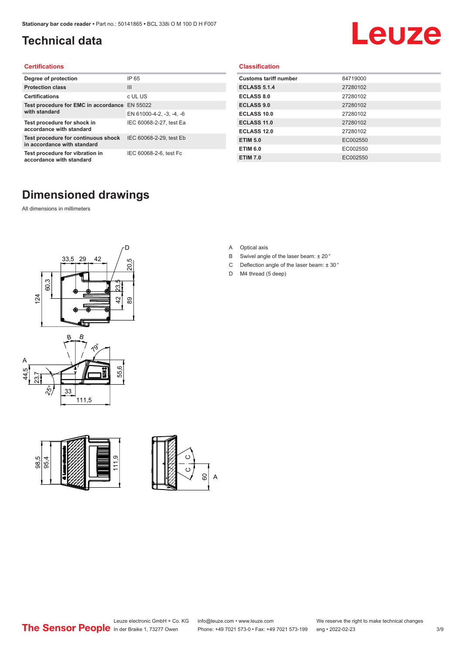## <span id="page-2-0"></span>**Technical data**

# Leuze

### **Certifications**

| Degree of protection                                               | IP 65                    |
|--------------------------------------------------------------------|--------------------------|
| <b>Protection class</b>                                            | Ш                        |
| <b>Certifications</b>                                              | c UL US                  |
| Test procedure for EMC in accordance EN 55022                      |                          |
| with standard                                                      | EN 61000-4-2, -3, -4, -6 |
| Test procedure for shock in<br>accordance with standard            | IEC 60068-2-27, test Ea  |
| Test procedure for continuous shock<br>in accordance with standard | IEC 60068-2-29, test Eb  |
| Test procedure for vibration in<br>accordance with standard        | IEC 60068-2-6, test Fc   |

### **Dimensioned drawings**

All dimensions in millimeters







### **Classification**

| <b>Customs tariff number</b> | 84719000 |
|------------------------------|----------|
| <b>ECLASS 5.1.4</b>          | 27280102 |
| <b>ECLASS 8.0</b>            | 27280102 |
| <b>ECLASS 9.0</b>            | 27280102 |
| ECLASS 10.0                  | 27280102 |
| <b>ECLASS 11.0</b>           | 27280102 |
| ECLASS 12.0                  | 27280102 |
| <b>ETIM 5.0</b>              | EC002550 |
| <b>ETIM 6.0</b>              | EC002550 |
| <b>ETIM 7.0</b>              | EC002550 |

A Optical axis

- B Swivel angle of the laser beam: ± 20 °
- C Deflection angle of the laser beam:  $\pm$  30 $^{\circ}$
- D M4 thread (5 deep)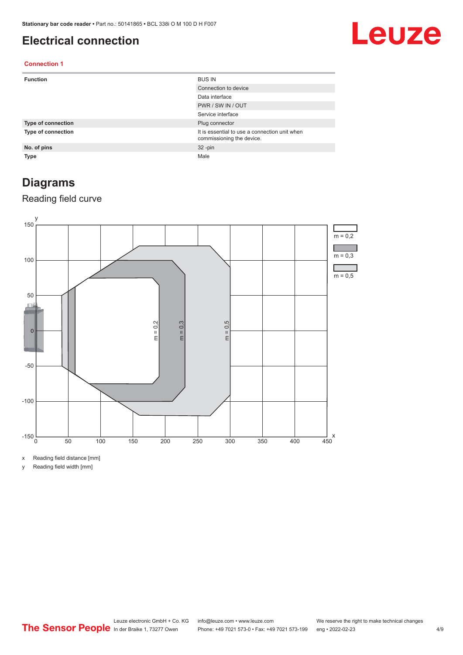### <span id="page-3-0"></span>**Electrical connection**

# Leuze

### **Connection 1**

| <b>Function</b>           | <b>BUS IN</b>                                                              |
|---------------------------|----------------------------------------------------------------------------|
|                           | Connection to device                                                       |
|                           | Data interface                                                             |
|                           | PWR / SW IN / OUT                                                          |
|                           | Service interface                                                          |
| <b>Type of connection</b> | Plug connector                                                             |
| <b>Type of connection</b> | It is essential to use a connection unit when<br>commissioning the device. |
| No. of pins               | $32 - pin$                                                                 |
| <b>Type</b>               | Male                                                                       |

### **Diagrams**

### Reading field curve



x Reading field distance [mm]

y Reading field width [mm]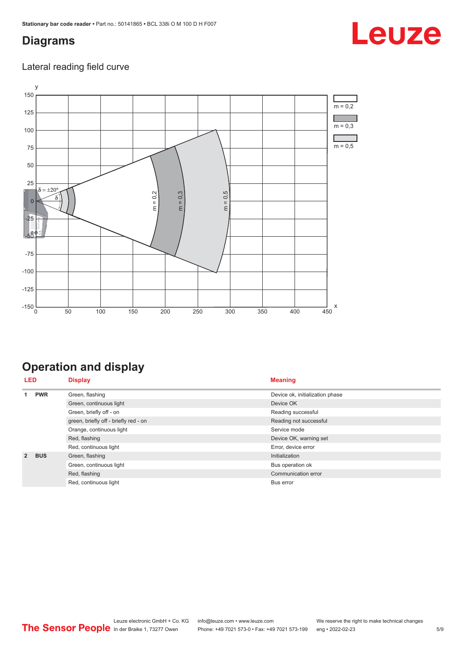### <span id="page-4-0"></span>**Diagrams**

### Lateral reading field curve



## **Operation and display**

| <b>LED</b>     | <b>Display</b> |                                       | <b>Meaning</b>                  |
|----------------|----------------|---------------------------------------|---------------------------------|
|                | <b>PWR</b>     | Green, flashing                       | Device ok, initialization phase |
|                |                | Green, continuous light               | Device OK                       |
|                |                | Green, briefly off - on               | Reading successful              |
|                |                | green, briefly off - briefly red - on | Reading not successful          |
|                |                | Orange, continuous light              | Service mode                    |
|                |                | Red, flashing                         | Device OK, warning set          |
|                |                | Red, continuous light                 | Error, device error             |
| $\overline{2}$ | <b>BUS</b>     | Green, flashing                       | Initialization                  |
|                |                | Green, continuous light               | Bus operation ok                |
|                |                | Red, flashing                         | Communication error             |
|                |                | Red, continuous light                 | Bus error                       |

Leuze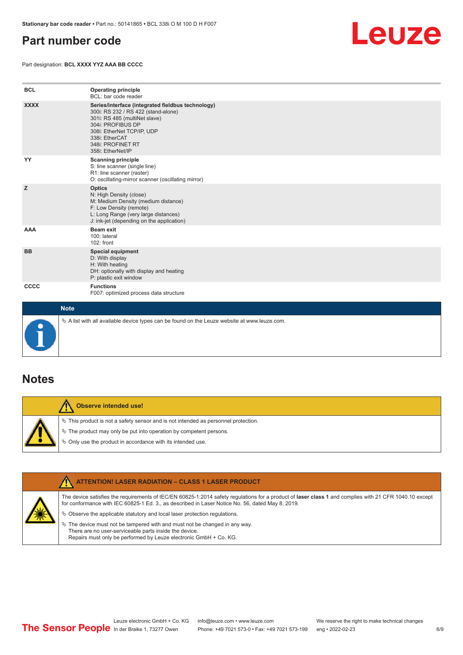### <span id="page-5-0"></span>**Part number code**



Part designation: **BCL XXXX YYZ AAA BB CCCC**

| <b>BCL</b>  | <b>Operating principle</b><br>BCL: bar code reader                                                                                                                                                                                       |
|-------------|------------------------------------------------------------------------------------------------------------------------------------------------------------------------------------------------------------------------------------------|
| <b>XXXX</b> | Series/interface (integrated fieldbus technology)<br>300i: RS 232 / RS 422 (stand-alone)<br>301i: RS 485 (multiNet slave)<br>304i: PROFIBUS DP<br>308i: EtherNet TCP/IP, UDP<br>338i: EtherCAT<br>348i: PROFINET RT<br>358i: EtherNet/IP |
| YY          | <b>Scanning principle</b><br>S: line scanner (single line)<br>R1: line scanner (raster)<br>O: oscillating-mirror scanner (oscillating mirror)                                                                                            |
| z           | <b>Optics</b><br>N: High Density (close)<br>M: Medium Density (medium distance)<br>F: Low Density (remote)<br>L: Long Range (very large distances)<br>J: ink-jet (depending on the application)                                          |
| AAA         | Beam exit<br>100: lateral<br>$102:$ front                                                                                                                                                                                                |
| <b>BB</b>   | <b>Special equipment</b><br>D: With display<br>H: With heating<br>DH: optionally with display and heating<br>P: plastic exit window                                                                                                      |
| <b>CCCC</b> | <b>Functions</b><br>F007: optimized process data structure                                                                                                                                                                               |
| <b>Note</b> |                                                                                                                                                                                                                                          |

 $\&$  A list with all available device types can be found on the Leuze website at www.leuze.com.

### **Notes**

| Observe intended use!                                                                                                                                                                                                            |
|----------------------------------------------------------------------------------------------------------------------------------------------------------------------------------------------------------------------------------|
| $\%$ This product is not a safety sensor and is not intended as personnel protection.<br>$\&$ The product may only be put into operation by competent persons.<br>$\%$ Only use the product in accordance with its intended use. |

| <b>ATTENTION! LASER RADIATION - CLASS 1 LASER PRODUCT</b>                                                                                                                                                                                                  |
|------------------------------------------------------------------------------------------------------------------------------------------------------------------------------------------------------------------------------------------------------------|
| The device satisfies the requirements of IEC/EN 60825-1:2014 safety requlations for a product of laser class 1 and complies with 21 CFR 1040.10 except<br>for conformance with IEC 60825-1 Ed. 3., as described in Laser Notice No. 56, dated May 8, 2019. |
| $\&$ Observe the applicable statutory and local laser protection requisitions.                                                                                                                                                                             |
| $\%$ The device must not be tampered with and must not be changed in any way.<br>There are no user-serviceable parts inside the device.<br>Repairs must only be performed by Leuze electronic GmbH + Co. KG.                                               |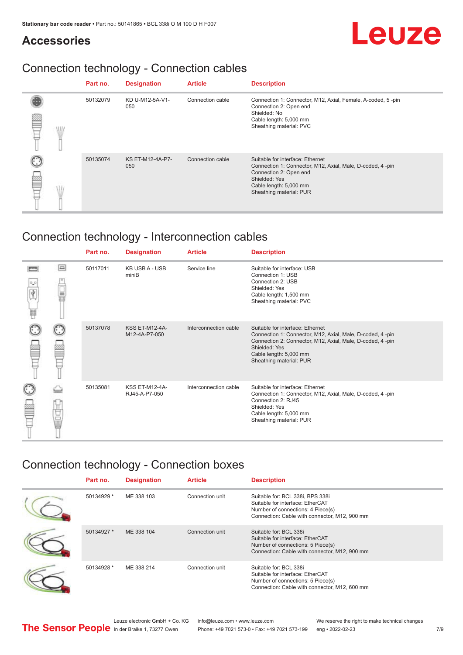# Leuze

### **Accessories**

## Connection technology - Connection cables

|   | Part no. | <b>Designation</b>             | <b>Article</b>   | <b>Description</b>                                                                                                                                                                            |
|---|----------|--------------------------------|------------------|-----------------------------------------------------------------------------------------------------------------------------------------------------------------------------------------------|
| ₽ | 50132079 | KD U-M12-5A-V1-<br>050         | Connection cable | Connection 1: Connector, M12, Axial, Female, A-coded, 5-pin<br>Connection 2: Open end<br>Shielded: No<br>Cable length: 5,000 mm<br>Sheathing material: PVC                                    |
|   | 50135074 | <b>KS ET-M12-4A-P7-</b><br>050 | Connection cable | Suitable for interface: Ethernet<br>Connection 1: Connector, M12, Axial, Male, D-coded, 4-pin<br>Connection 2: Open end<br>Shielded: Yes<br>Cable length: 5,000 mm<br>Sheathing material: PUR |

## Connection technology - Interconnection cables

|   |        | Part no. | <b>Designation</b>                     | <b>Article</b>        | <b>Description</b>                                                                                                                                                                                                               |
|---|--------|----------|----------------------------------------|-----------------------|----------------------------------------------------------------------------------------------------------------------------------------------------------------------------------------------------------------------------------|
| Ħ | $\Box$ | 50117011 | <b>KB USB A - USB</b><br>miniB         | Service line          | Suitable for interface: USB<br>Connection 1: USB<br>Connection 2: USB<br>Shielded: Yes<br>Cable length: 1,500 mm<br>Sheathing material: PVC                                                                                      |
|   |        | 50137078 | <b>KSS ET-M12-4A-</b><br>M12-4A-P7-050 | Interconnection cable | Suitable for interface: Ethernet<br>Connection 1: Connector, M12, Axial, Male, D-coded, 4-pin<br>Connection 2: Connector, M12, Axial, Male, D-coded, 4-pin<br>Shielded: Yes<br>Cable length: 5,000 mm<br>Sheathing material: PUR |
|   | the    | 50135081 | <b>KSS ET-M12-4A-</b><br>RJ45-A-P7-050 | Interconnection cable | Suitable for interface: Ethernet<br>Connection 1: Connector, M12, Axial, Male, D-coded, 4-pin<br>Connection 2: RJ45<br>Shielded: Yes<br>Cable length: 5,000 mm<br>Sheathing material: PUR                                        |

### Connection technology - Connection boxes

| Part no.   | <b>Designation</b> | <b>Article</b>  | <b>Description</b>                                                                                                                                         |
|------------|--------------------|-----------------|------------------------------------------------------------------------------------------------------------------------------------------------------------|
| 50134929 * | ME 338 103         | Connection unit | Suitable for: BCL 338i, BPS 338i<br>Suitable for interface: EtherCAT<br>Number of connections: 4 Piece(s)<br>Connection: Cable with connector, M12, 900 mm |
| 50134927 * | ME 338 104         | Connection unit | Suitable for: BCL 338i<br>Suitable for interface: EtherCAT<br>Number of connections: 5 Piece(s)<br>Connection: Cable with connector, M12, 900 mm           |
| 50134928 * | ME 338 214         | Connection unit | Suitable for: BCL 338i<br>Suitable for interface: EtherCAT<br>Number of connections: 5 Piece(s)<br>Connection: Cable with connector, M12, 600 mm           |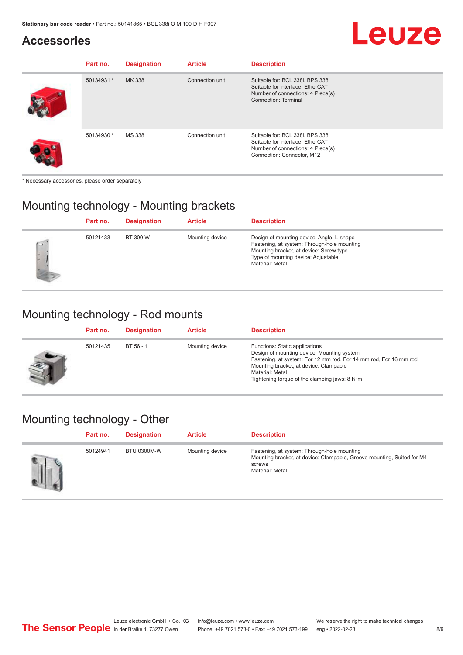### **Accessories**

| Part no.   | <b>Designation</b> | <b>Article</b>  | <b>Description</b>                                                                                                                      |
|------------|--------------------|-----------------|-----------------------------------------------------------------------------------------------------------------------------------------|
| 50134931 * | MK 338             | Connection unit | Suitable for: BCL 338i, BPS 338i<br>Suitable for interface: EtherCAT<br>Number of connections: 4 Piece(s)<br>Connection: Terminal       |
| 50134930 * | <b>MS 338</b>      | Connection unit | Suitable for: BCL 338i, BPS 338i<br>Suitable for interface: EtherCAT<br>Number of connections: 4 Piece(s)<br>Connection: Connector, M12 |

\* Necessary accessories, please order separately

### Mounting technology - Mounting brackets

|                                | Part no. | <b>Designation</b> | <b>Article</b>  | <b>Description</b>                                                                                                                                                                            |
|--------------------------------|----------|--------------------|-----------------|-----------------------------------------------------------------------------------------------------------------------------------------------------------------------------------------------|
| $\left( -1\right)$<br>×<br>i e | 50121433 | BT 300 W           | Mounting device | Design of mounting device: Angle, L-shape<br>Fastening, at system: Through-hole mounting<br>Mounting bracket, at device: Screw type<br>Type of mounting device: Adjustable<br>Material: Metal |

## Mounting technology - Rod mounts

| Part no. | <b>Designation</b> | <b>Article</b>  | <b>Description</b>                                                                                                                                                                                                                                                |
|----------|--------------------|-----------------|-------------------------------------------------------------------------------------------------------------------------------------------------------------------------------------------------------------------------------------------------------------------|
| 50121435 | BT 56 - 1          | Mounting device | Functions: Static applications<br>Design of mounting device: Mounting system<br>Fastening, at system: For 12 mm rod, For 14 mm rod, For 16 mm rod<br>Mounting bracket, at device: Clampable<br>Material: Metal<br>Tightening torque of the clamping jaws: $8 N·m$ |

### Mounting technology - Other

| Part no. | <b>Designation</b> | <b>Article</b>  | <b>Description</b>                                                                                                                                 |
|----------|--------------------|-----------------|----------------------------------------------------------------------------------------------------------------------------------------------------|
| 50124941 | <b>BTU 0300M-W</b> | Mounting device | Fastening, at system: Through-hole mounting<br>Mounting bracket, at device: Clampable, Groove mounting, Suited for M4<br>screws<br>Material: Metal |

**Leuze**